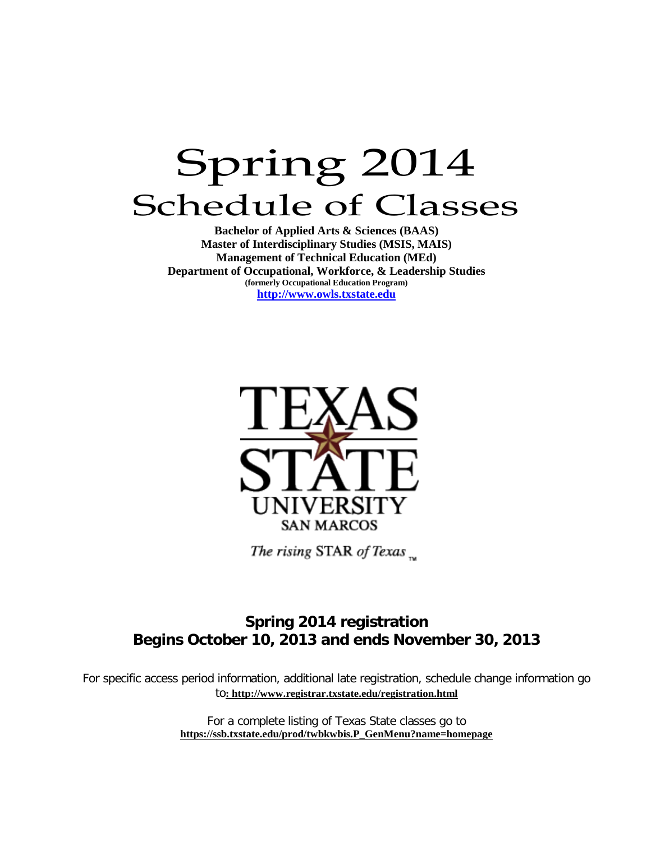# Spring 2014 Schedule of Classes

**Bachelor of Applied Arts & Sciences (BAAS) Master of Interdisciplinary Studies (MSIS, MAIS) Management of Technical Education (MEd) Department of Occupational, Workforce, & Leadership Studies (formerly Occupational Education Program) [http://www.owls.txstate.edu](http://www.owls.txstate.edu/)**



The rising STAR of Texas  $\mathbb{R}$ 

### **Spring 2014 registration Begins October 10, 2013 and ends November 30, 2013**

For specific access period information, additional late registration, schedule change information go to**:<http://www.registrar.txstate.edu/registration.html>**

> For a complete listing of Texas State classes go to **[https://ssb.txstate.edu/prod/twbkwbis.P\\_GenMenu?name=homepage](https://ssb.txstate.edu/prod/twbkwbis.P_GenMenu?name=homepage)**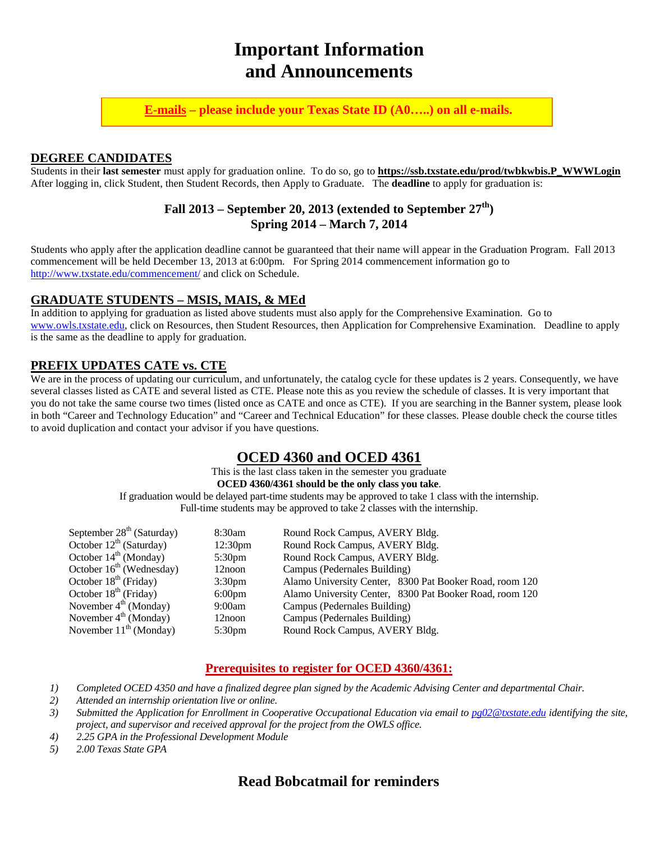# **Important Information and Announcements**

**E-mails – please include your Texas State ID (A0…..) on all e-mails.**

#### **DEGREE CANDIDATES**

Students in their **last semester** must apply for graduation online. To do so, go to **[https://ssb.txstate.edu/prod/twbkwbis.P\\_WWWLogin](https://ssb.txstate.edu/prod/twbkwbis.P_WWWLogin)** After logging in, click Student, then Student Records, then Apply to Graduate. The **deadline** to apply for graduation is:

#### **Fall 2013 – September 20, 2013 (extended to September 27th) Spring 2014 – March 7, 2014**

Students who apply after the application deadline cannot be guaranteed that their name will appear in the Graduation Program. Fall 2013 commencement will be held December 13, 2013 at 6:00pm. For Spring 2014 commencement information go to <http://www.txstate.edu/commencement/> and click on Schedule.

#### **GRADUATE STUDENTS – MSIS, MAIS, & MEd**

In addition to applying for graduation as listed above students must also apply for the Comprehensive Examination. Go to [www.owls.txstate.edu,](http://www.owls.txstate.edu/) click on Resources, then Student Resources, then Application for Comprehensive Examination. Deadline to apply is the same as the deadline to apply for graduation.

#### **PREFIX UPDATES CATE vs. CTE**

We are in the process of updating our curriculum, and unfortunately, the catalog cycle for these updates is 2 years. Consequently, we have several classes listed as CATE and several listed as CTE. Please note this as you review the schedule of classes. It is very important that you do not take the same course two times (listed once as CATE and once as CTE). If you are searching in the Banner system, please look in both "Career and Technology Education" and "Career and Technical Education" for these classes. Please double check the course titles to avoid duplication and contact your advisor if you have questions.

#### **OCED 4360 and OCED 4361**

This is the last class taken in the semester you graduate **OCED 4360/4361 should be the only class you take**. If graduation would be delayed part-time students may be approved to take 1 class with the internship. Full-time students may be approved to take 2 classes with the internship.

| September $28th$ (Saturday)       | 8:30am              | Round Rock Campus, AVERY Bldg.                          |  |  |
|-----------------------------------|---------------------|---------------------------------------------------------|--|--|
| October $12^{th}$ (Saturday)      | 12:30 <sub>pm</sub> | Round Rock Campus, AVERY Bldg.                          |  |  |
| October $14th$ (Monday)           | 5:30 <sub>pm</sub>  | Round Rock Campus, AVERY Bldg.                          |  |  |
| October $16th$ (Wednesday)        | 12noon              | Campus (Pedernales Building)                            |  |  |
| October $18th$ (Friday)           | 3:30 <sub>pm</sub>  | Alamo University Center, 8300 Pat Booker Road, room 120 |  |  |
| October $18th$ (Friday)           | $6:00 \text{pm}$    | Alamo University Center, 8300 Pat Booker Road, room 120 |  |  |
| November $4^{\text{th}}$ (Monday) | 9:00am              | Campus (Pedernales Building)                            |  |  |
| November $4th$ (Monday)           | 12noon              | Campus (Pedernales Building)                            |  |  |
| November $11th$ (Monday)          | 5:30 <sub>pm</sub>  | Round Rock Campus, AVERY Bldg.                          |  |  |

#### **Prerequisites to register for OCED 4360/4361:**

- *1) Completed OCED 4350 and have a finalized degree plan signed by the Academic Advising Center and departmental Chair.*
- *2) Attended an internship orientation live or online.*
- *3) Submitted the Application for Enrollment in Cooperative Occupational Education via email t[o pg02@txstate.edu](mailto:pg02@txstate.edu) identifying the site, project, and supervisor and received approval for the project from the OWLS office.*
- *4) 2.25 GPA in the Professional Development Module*
- *5) 2.00 Texas State GPA*

#### **Read Bobcatmail for reminders**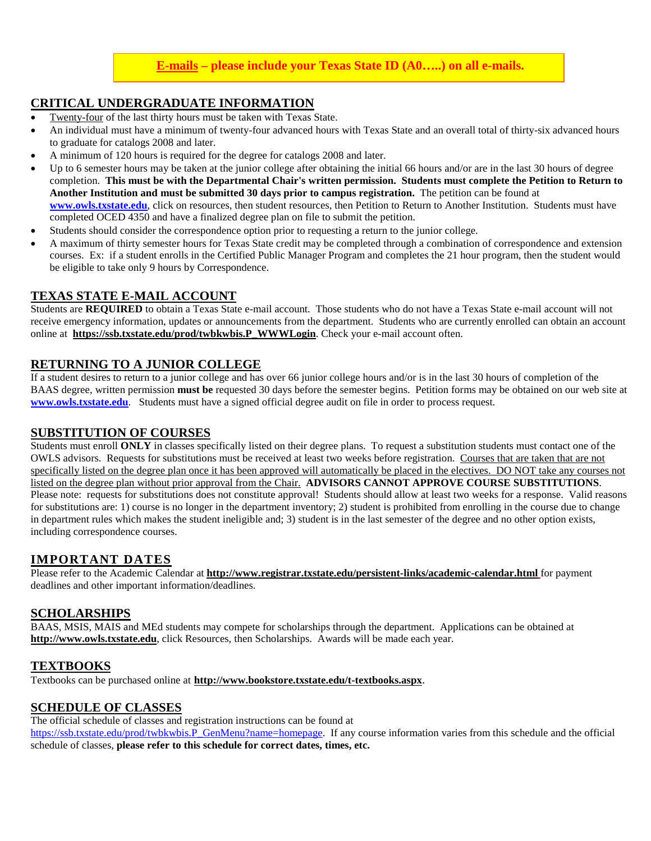#### **E-mails – please include your Texas State ID (A0…..) on all e-mails.**

#### **CRITICAL UNDERGRADUATE INFORMATION**

- Twenty-four of the last thirty hours must be taken with Texas State.
- An individual must have a minimum of twenty-four advanced hours with Texas State and an overall total of thirty-six advanced hours to graduate for catalogs 2008 and later.
- A minimum of 120 hours is required for the degree for catalogs 2008 and later.
- Up to 6 semester hours may be taken at the junior college after obtaining the initial 66 hours and/or are in the last 30 hours of degree completion. **This must be with the Departmental Chair's written permission. Students must complete the Petition to Return to Another Institution and must be submitted 30 days prior to campus registration.** The petition can be found at **[www.owls.txstate.edu](http://www.owls.txstate.edu/)**, click on resources, then student resources, then Petition to Return to Another Institution. Students must have completed OCED 4350 and have a finalized degree plan on file to submit the petition.
- Students should consider the correspondence option prior to requesting a return to the junior college.
- A maximum of thirty semester hours for Texas State credit may be completed through a combination of correspondence and extension courses. Ex: if a student enrolls in the Certified Public Manager Program and completes the 21 hour program, then the student would be eligible to take only 9 hours by Correspondence.

#### **TEXAS STATE E-MAIL ACCOUNT**

Students are **REQUIRED** to obtain a Texas State e-mail account. Those students who do not have a Texas State e-mail account will not receive emergency information, updates or announcements from the department. Students who are currently enrolled can obtain an account online at **[https://ssb.txstate.edu/prod/twbkwbis.P\\_WWWLogin](https://ssb.txstate.edu/prod/twbkwbis.P_WWWLogin)**. Check your e-mail account often.

#### **RETURNING TO A JUNIOR COLLEGE**

If a student desires to return to a junior college and has over 66 junior college hours and/or is in the last 30 hours of completion of the BAAS degree, written permission **must be** requested 30 days before the semester begins. Petition forms may be obtained on our web site at **[www.owls.txstate.edu](http://www.owls.txstate.edu/)**. Students must have a signed official degree audit on file in order to process request.

#### **SUBSTITUTION OF COURSES**

Students must enroll **ONLY** in classes specifically listed on their degree plans. To request a substitution students must contact one of the OWLS advisors. Requests for substitutions must be received at least two weeks before registration. Courses that are taken that are not specifically listed on the degree plan once it has been approved will automatically be placed in the electives. DO NOT take any courses not listed on the degree plan without prior approval from the Chair. **ADVISORS CANNOT APPROVE COURSE SUBSTITUTIONS**. Please note: requests for substitutions does not constitute approval! Students should allow at least two weeks for a response. Valid reasons for substitutions are: 1) course is no longer in the department inventory; 2) student is prohibited from enrolling in the course due to change in department rules which makes the student ineligible and; 3) student is in the last semester of the degree and no other option exists, including correspondence courses.

#### **IMPORTANT DATES**

Please refer to the Academic Calendar at **<http://www.registrar.txstate.edu/persistent-links/academic-calendar.html>** for payment deadlines and other important information/deadlines.

#### **SCHOLARSHIPS**

BAAS, MSIS, MAIS and MEd students may compete for scholarships through the department. Applications can be obtained at **[http://www.owls.txstate.edu](http://www.oced.txstate.edu/)**, click Resources, then Scholarships. Awards will be made each year.

#### **TEXTBOOKS**

Textbooks can be purchased online at **<http://www.bookstore.txstate.edu/t-textbooks.aspx>**.

#### **SCHEDULE OF CLASSES**

The official schedule of classes and registration instructions can be found at

[https://ssb.txstate.edu/prod/twbkwbis.P\\_GenMenu?name=homepage.](https://ssb.txstate.edu/prod/twbkwbis.P_GenMenu?name=homepage) If any course information varies from this schedule and the official schedule of classes, **please refer to this schedule for correct dates, times, etc.**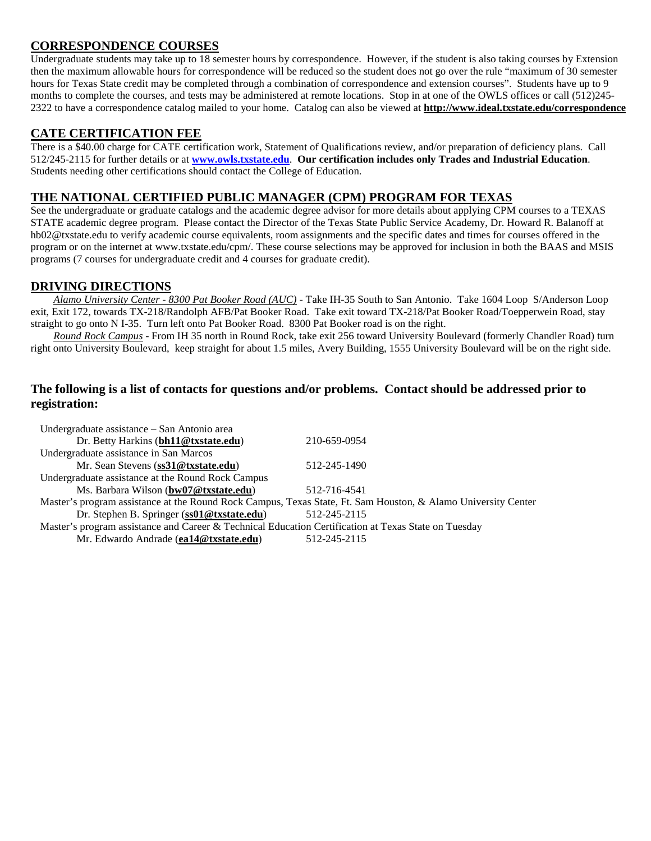#### **CORRESPONDENCE COURSES**

Undergraduate students may take up to 18 semester hours by correspondence. However, if the student is also taking courses by Extension then the maximum allowable hours for correspondence will be reduced so the student does not go over the rule "maximum of 30 semester hours for Texas State credit may be completed through a combination of correspondence and extension courses". Students have up to 9 months to complete the courses, and tests may be administered at remote locations. Stop in at one of the OWLS offices or call (512)245- 2322 to have a correspondence catalog mailed to your home. Catalog can also be viewed at **<http://www.ideal.txstate.edu/correspondence>**

#### **CATE CERTIFICATION FEE**

There is a \$40.00 charge for CATE certification work, Statement of Qualifications review, and/or preparation of deficiency plans. Call 512/245-2115 for further details or at **[www.owls.txstate.edu](http://www.owls.txstate.edu/)**. **Our certification includes only Trades and Industrial Education**. Students needing other certifications should contact the College of Education.

#### **THE NATIONAL CERTIFIED PUBLIC MANAGER (CPM) PROGRAM FOR TEXAS**

See the undergraduate or graduate catalogs and the academic degree advisor for more details about applying CPM courses to a TEXAS STATE academic degree program. Please contact the Director of the Texas State Public Service Academy, Dr. Howard R. Balanoff at hb02@txstate.edu to verify academic course equivalents, room assignments and the specific dates and times for courses offered in the program or on the internet at www.txstate.edu/cpm/. These course selections may be approved for inclusion in both the BAAS and MSIS programs (7 courses for undergraduate credit and 4 courses for graduate credit).

#### **DRIVING DIRECTIONS**

*Alamo University Center - 8300 Pat Booker Road (AUC)* - Take IH-35 South to San Antonio. Take 1604 Loop S/Anderson Loop exit, Exit 172, towards TX-218/Randolph AFB/Pat Booker Road. Take exit toward TX-218/Pat Booker Road/Toepperwein Road, stay straight to go onto N I-35. Turn left onto Pat Booker Road. 8300 Pat Booker road is on the right.

*Round Rock Campus* - From IH 35 north in Round Rock, take exit 256 toward University Boulevard (formerly Chandler Road) turn right onto University Boulevard, keep straight for about 1.5 miles, Avery Building, 1555 University Boulevard will be on the right side.

#### **The following is a list of contacts for questions and/or problems. Contact should be addressed prior to registration:**

| Undergraduate assistance – San Antonio area                                                                   |              |  |  |  |  |
|---------------------------------------------------------------------------------------------------------------|--------------|--|--|--|--|
| Dr. Betty Harkins (bh11@txstate.edu)                                                                          | 210-659-0954 |  |  |  |  |
| Undergraduate assistance in San Marcos                                                                        |              |  |  |  |  |
| Mr. Sean Stevens (ss31@txstate.edu)                                                                           | 512-245-1490 |  |  |  |  |
| Undergraduate assistance at the Round Rock Campus                                                             |              |  |  |  |  |
| Ms. Barbara Wilson (bw07@txstate.edu)                                                                         | 512-716-4541 |  |  |  |  |
| Master's program assistance at the Round Rock Campus, Texas State, Ft. Sam Houston, & Alamo University Center |              |  |  |  |  |
| Dr. Stephen B. Springer (ss01@txstate.edu)                                                                    | 512-245-2115 |  |  |  |  |
| Master's program assistance and Career & Technical Education Certification at Texas State on Tuesday          |              |  |  |  |  |
| Mr. Edwardo Andrade (ea14@txstate.edu)                                                                        | 512-245-2115 |  |  |  |  |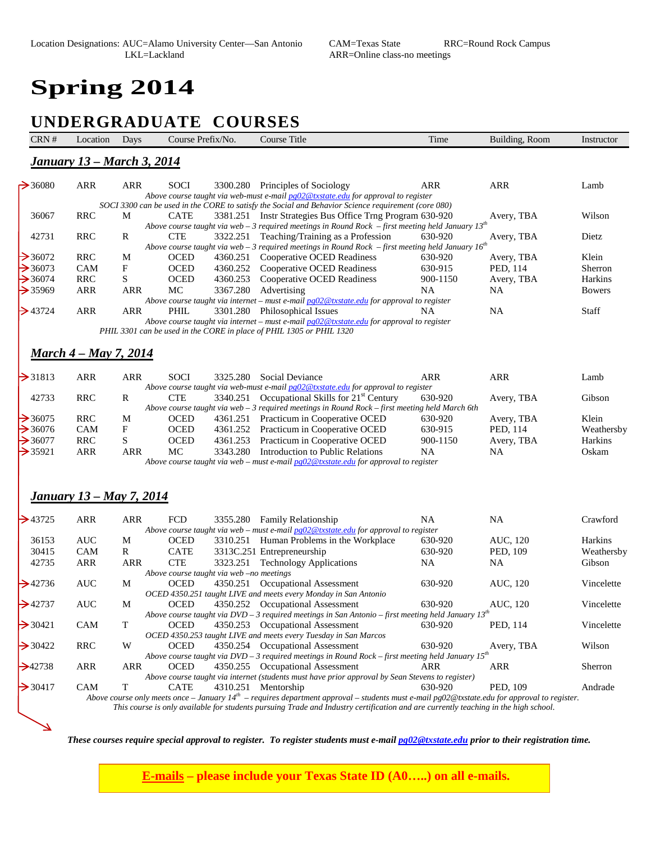# **Spring 2014**

 $\overline{\phantom{0}}$ 

## **UNDERGRADUATE COURSES**

| <u> January 13 – March 3, 2014</u><br>$\rightarrow$ 36080<br><b>ARR</b><br>ARR<br>ARR<br><b>ARR</b><br><b>SOCI</b><br>3300.280 Principles of Sociology<br>Lamb<br>Above course taught via web-must e-mail pg02@txstate.edu for approval to register<br>SOCI 3300 can be used in the CORE to satisfy the Social and Behavior Science requirement (core 080)<br><b>RRC</b><br>36067<br>М<br><b>CATE</b><br>3381.251 Instr Strategies Bus Office Trng Program 630-920<br>Wilson<br>Avery, TBA<br>Above course taught via web - 3 required meetings in Round Rock - first meeting held January $13^{th}$<br>42731<br><b>RRC</b><br>R<br>3322.251 Teaching/Training as a Profession<br>630-920<br>Avery, TBA<br>Dietz<br><b>CTE</b><br>Above course taught via web - 3 required meetings in Round Rock - first meeting held January $16^{th}$<br><b>RRC</b><br>$\rightarrow$ 36072<br><b>OCED</b><br>4360.251 Cooperative OCED Readiness<br>630-920<br>Avery, TBA<br>Klein<br>M<br>$\rightarrow$ 36073<br>F<br><b>OCED</b><br><b>CAM</b><br>4360.252<br>Cooperative OCED Readiness<br>630-915<br>PED, 114<br>Sherron<br>S<br>$\rightarrow$ 36074<br><b>RRC</b><br><b>OCED</b><br>4360.253<br>Cooperative OCED Readiness<br>Harkins<br>900-1150<br>Avery, TBA<br>$\rightarrow$ 35969<br><b>ARR</b><br>ARR<br>MC<br>3367.280<br>Advertising<br>NA<br>NA.<br><b>Bowers</b><br>Above course taught via internet – must e-mail $pg02@txstate.edu$ for approval to register<br>$\triangleright$ 43724<br><b>ARR</b><br>ARR<br>3301.280 Philosophical Issues<br><b>NA</b><br>Staff<br>PHIL<br>NA<br>Above course taught via internet – must e-mail $pg02@$ txstate.edu for approval to register<br>PHIL 3301 can be used in the CORE in place of PHIL 1305 or PHIL 1320<br><u> March 4 – May 7, 2014</u><br><b>ARR</b><br><b>SOCI</b><br>Social Deviance<br><b>ARR</b><br><b>ARR</b><br>ARR<br>3325.280<br>Lamb<br>Above course taught via web-must e-mail pg02@txstate.edu for approval to register<br>3340.251 Occupational Skills for 21 <sup>st</sup> Century<br>42733<br><b>RRC</b><br><b>CTE</b><br>630-920<br>Avery, TBA<br>Gibson<br>R<br>Above course taught via web - 3 required meetings in Round Rock - first meeting held March 6th<br><b>RRC</b><br>$\rightarrow$ 36075<br>4361.251 Practicum in Cooperative OCED<br>630-920<br>Klein<br>М<br><b>OCED</b><br>Avery, TBA<br>$\rightarrow$ 36076<br>F<br><b>OCED</b><br>PED, 114<br>CAM<br>4361.252 Practicum in Cooperative OCED<br>630-915<br>Weathersby<br>$\rightarrow$ 36077<br><b>RRC</b><br>S<br><b>OCED</b><br>Practicum in Cooperative OCED<br>4361.253<br>900-1150<br>Avery, TBA<br>Harkins<br><b>ARR</b><br>MC<br>$\rightarrow$ 35921<br><b>ARR</b><br>3343.280<br>Introduction to Public Relations<br><b>NA</b><br>NA.<br>Oskam<br>Above course taught via web – must e-mail $pg02@$ txstate edu for approval to register<br><u>January 13 – May 7, 2014</u><br><b>ARR</b><br>ARR<br>FCD<br><b>NA</b><br>3355.280 Family Relationship<br>NA.<br>Crawford<br>Above course taught via web - must e-mail pg02@txstate.edu for approval to register<br><b>AUC</b><br>36153<br><b>OCED</b><br>3310.251 Human Problems in the Workplace<br>630-920<br>AUC, 120<br>Harkins<br>M<br>30415<br><b>CATE</b><br>PED, 109<br><b>CAM</b><br>R<br>3313C.251 Entrepreneurship<br>630-920<br>42735<br><b>ARR</b><br><b>CTE</b><br>3323.251<br>ARR<br><b>Technology Applications</b><br><b>NA</b><br><b>NA</b><br>Gibson<br>Above course taught via web -no meetings<br><b>OCED</b><br>AUC<br>4350.251 Occupational Assessment<br>630-920<br>AUC, 120<br>M<br>Vincelette<br>OCED 4350.251 taught LIVE and meets every Monday in San Antonio<br>$\rightarrow$ 42737<br><b>AUC</b><br><b>OCED</b><br>AUC, 120<br>М<br>4350.252 Occupational Assessment<br>630-920<br>Vincelette<br>Above course taught via $DVD - 3$ required meetings in San Antonio - first meeting held January $13^{th}$<br>CAM<br>4350.253 Occupational Assessment<br>Vincelette<br>$\rightarrow$ 30421<br>T<br>630-920<br>PED, 114<br><b>OCED</b><br>OCED 4350.253 taught LIVE and meets every Tuesday in San Marcos<br><b>RRC</b><br>4350.254 Occupational Assessment<br>630-920<br>Wilson<br>W<br><b>OCED</b><br>$\rightarrow$ 30422<br>Avery, TBA<br>Above course taught via $DVD-3$ required meetings in Round Rock - first meeting held January $15^{th}$<br><b>ARR</b><br>4350.255 Occupational Assessment<br><b>ARR</b><br>ARR<br><b>OCED</b><br>ARR<br>Sherron<br>$\rightarrow$ 42738<br>Above course taught via internet (students must have prior approval by Sean Stevens to register)<br>4310.251 Mentorship<br>PED, 109<br>Andrade<br>$\rightarrow$ 30417<br><b>CAM</b><br>T<br><b>CATE</b><br>630-920<br>Above course only meets once - January $14th$ - requires department approval - students must e-mail pg02@txstate.edu for approval to register. | CRN#                | Location | Days | Course Prefix/No. | Course Title | Time | Building, Room | Instructor |
|-------------------------------------------------------------------------------------------------------------------------------------------------------------------------------------------------------------------------------------------------------------------------------------------------------------------------------------------------------------------------------------------------------------------------------------------------------------------------------------------------------------------------------------------------------------------------------------------------------------------------------------------------------------------------------------------------------------------------------------------------------------------------------------------------------------------------------------------------------------------------------------------------------------------------------------------------------------------------------------------------------------------------------------------------------------------------------------------------------------------------------------------------------------------------------------------------------------------------------------------------------------------------------------------------------------------------------------------------------------------------------------------------------------------------------------------------------------------------------------------------------------------------------------------------------------------------------------------------------------------------------------------------------------------------------------------------------------------------------------------------------------------------------------------------------------------------------------------------------------------------------------------------------------------------------------------------------------------------------------------------------------------------------------------------------------------------------------------------------------------------------------------------------------------------------------------------------------------------------------------------------------------------------------------------------------------------------------------------------------------------------------------------------------------------------------------------------------------------------------------------------------------------------------------------------------------------------------------------------------------------------------------------------------------------------------------------------------------------------------------------------------------------------------------------------------------------------------------------------------------------------------------------------------------------------------------------------------------------------------------------------------------------------------------------------------------------------------------------------------------------------------------------------------------------------------------------------------------------------------------------------------------------------------------------------------------------------------------------------------------------------------------------------------------------------------------------------------------------------------------------------------------------------------------------------------------------------------------------------------------------------------------------------------------------------------------------------------------------------------------------------------------------------------------------------------------------------------------------------------------------------------------------------------------------------------------------------------------------------------------------------------------------------------------------------------------------------------------------------------------------------------------------------------------------------------------------------------------------------------------------------------------------------------------------------------------------------------------------------------------------------------------------------------------------------------------------------------------------------------------------------------------------------------------------------------------------------------------------------------------------------------------------------------------------------------------------------------------------------------------------------------------------------------------------------------------------------------------------------------------------------------|---------------------|----------|------|-------------------|--------------|------|----------------|------------|
|                                                                                                                                                                                                                                                                                                                                                                                                                                                                                                                                                                                                                                                                                                                                                                                                                                                                                                                                                                                                                                                                                                                                                                                                                                                                                                                                                                                                                                                                                                                                                                                                                                                                                                                                                                                                                                                                                                                                                                                                                                                                                                                                                                                                                                                                                                                                                                                                                                                                                                                                                                                                                                                                                                                                                                                                                                                                                                                                                                                                                                                                                                                                                                                                                                                                                                                                                                                                                                                                                                                                                                                                                                                                                                                                                                                                                                                                                                                                                                                                                                                                                                                                                                                                                                                                                                                                                                                                                                                                                                                                                                                                                                                                                                                                                                                                                                                                                     |                     |          |      |                   |              |      |                |            |
|                                                                                                                                                                                                                                                                                                                                                                                                                                                                                                                                                                                                                                                                                                                                                                                                                                                                                                                                                                                                                                                                                                                                                                                                                                                                                                                                                                                                                                                                                                                                                                                                                                                                                                                                                                                                                                                                                                                                                                                                                                                                                                                                                                                                                                                                                                                                                                                                                                                                                                                                                                                                                                                                                                                                                                                                                                                                                                                                                                                                                                                                                                                                                                                                                                                                                                                                                                                                                                                                                                                                                                                                                                                                                                                                                                                                                                                                                                                                                                                                                                                                                                                                                                                                                                                                                                                                                                                                                                                                                                                                                                                                                                                                                                                                                                                                                                                                                     |                     |          |      |                   |              |      |                |            |
|                                                                                                                                                                                                                                                                                                                                                                                                                                                                                                                                                                                                                                                                                                                                                                                                                                                                                                                                                                                                                                                                                                                                                                                                                                                                                                                                                                                                                                                                                                                                                                                                                                                                                                                                                                                                                                                                                                                                                                                                                                                                                                                                                                                                                                                                                                                                                                                                                                                                                                                                                                                                                                                                                                                                                                                                                                                                                                                                                                                                                                                                                                                                                                                                                                                                                                                                                                                                                                                                                                                                                                                                                                                                                                                                                                                                                                                                                                                                                                                                                                                                                                                                                                                                                                                                                                                                                                                                                                                                                                                                                                                                                                                                                                                                                                                                                                                                                     |                     |          |      |                   |              |      |                |            |
|                                                                                                                                                                                                                                                                                                                                                                                                                                                                                                                                                                                                                                                                                                                                                                                                                                                                                                                                                                                                                                                                                                                                                                                                                                                                                                                                                                                                                                                                                                                                                                                                                                                                                                                                                                                                                                                                                                                                                                                                                                                                                                                                                                                                                                                                                                                                                                                                                                                                                                                                                                                                                                                                                                                                                                                                                                                                                                                                                                                                                                                                                                                                                                                                                                                                                                                                                                                                                                                                                                                                                                                                                                                                                                                                                                                                                                                                                                                                                                                                                                                                                                                                                                                                                                                                                                                                                                                                                                                                                                                                                                                                                                                                                                                                                                                                                                                                                     |                     |          |      |                   |              |      |                |            |
|                                                                                                                                                                                                                                                                                                                                                                                                                                                                                                                                                                                                                                                                                                                                                                                                                                                                                                                                                                                                                                                                                                                                                                                                                                                                                                                                                                                                                                                                                                                                                                                                                                                                                                                                                                                                                                                                                                                                                                                                                                                                                                                                                                                                                                                                                                                                                                                                                                                                                                                                                                                                                                                                                                                                                                                                                                                                                                                                                                                                                                                                                                                                                                                                                                                                                                                                                                                                                                                                                                                                                                                                                                                                                                                                                                                                                                                                                                                                                                                                                                                                                                                                                                                                                                                                                                                                                                                                                                                                                                                                                                                                                                                                                                                                                                                                                                                                                     |                     |          |      |                   |              |      |                |            |
|                                                                                                                                                                                                                                                                                                                                                                                                                                                                                                                                                                                                                                                                                                                                                                                                                                                                                                                                                                                                                                                                                                                                                                                                                                                                                                                                                                                                                                                                                                                                                                                                                                                                                                                                                                                                                                                                                                                                                                                                                                                                                                                                                                                                                                                                                                                                                                                                                                                                                                                                                                                                                                                                                                                                                                                                                                                                                                                                                                                                                                                                                                                                                                                                                                                                                                                                                                                                                                                                                                                                                                                                                                                                                                                                                                                                                                                                                                                                                                                                                                                                                                                                                                                                                                                                                                                                                                                                                                                                                                                                                                                                                                                                                                                                                                                                                                                                                     |                     |          |      |                   |              |      |                |            |
|                                                                                                                                                                                                                                                                                                                                                                                                                                                                                                                                                                                                                                                                                                                                                                                                                                                                                                                                                                                                                                                                                                                                                                                                                                                                                                                                                                                                                                                                                                                                                                                                                                                                                                                                                                                                                                                                                                                                                                                                                                                                                                                                                                                                                                                                                                                                                                                                                                                                                                                                                                                                                                                                                                                                                                                                                                                                                                                                                                                                                                                                                                                                                                                                                                                                                                                                                                                                                                                                                                                                                                                                                                                                                                                                                                                                                                                                                                                                                                                                                                                                                                                                                                                                                                                                                                                                                                                                                                                                                                                                                                                                                                                                                                                                                                                                                                                                                     |                     |          |      |                   |              |      |                |            |
|                                                                                                                                                                                                                                                                                                                                                                                                                                                                                                                                                                                                                                                                                                                                                                                                                                                                                                                                                                                                                                                                                                                                                                                                                                                                                                                                                                                                                                                                                                                                                                                                                                                                                                                                                                                                                                                                                                                                                                                                                                                                                                                                                                                                                                                                                                                                                                                                                                                                                                                                                                                                                                                                                                                                                                                                                                                                                                                                                                                                                                                                                                                                                                                                                                                                                                                                                                                                                                                                                                                                                                                                                                                                                                                                                                                                                                                                                                                                                                                                                                                                                                                                                                                                                                                                                                                                                                                                                                                                                                                                                                                                                                                                                                                                                                                                                                                                                     |                     |          |      |                   |              |      |                |            |
|                                                                                                                                                                                                                                                                                                                                                                                                                                                                                                                                                                                                                                                                                                                                                                                                                                                                                                                                                                                                                                                                                                                                                                                                                                                                                                                                                                                                                                                                                                                                                                                                                                                                                                                                                                                                                                                                                                                                                                                                                                                                                                                                                                                                                                                                                                                                                                                                                                                                                                                                                                                                                                                                                                                                                                                                                                                                                                                                                                                                                                                                                                                                                                                                                                                                                                                                                                                                                                                                                                                                                                                                                                                                                                                                                                                                                                                                                                                                                                                                                                                                                                                                                                                                                                                                                                                                                                                                                                                                                                                                                                                                                                                                                                                                                                                                                                                                                     |                     |          |      |                   |              |      |                |            |
|                                                                                                                                                                                                                                                                                                                                                                                                                                                                                                                                                                                                                                                                                                                                                                                                                                                                                                                                                                                                                                                                                                                                                                                                                                                                                                                                                                                                                                                                                                                                                                                                                                                                                                                                                                                                                                                                                                                                                                                                                                                                                                                                                                                                                                                                                                                                                                                                                                                                                                                                                                                                                                                                                                                                                                                                                                                                                                                                                                                                                                                                                                                                                                                                                                                                                                                                                                                                                                                                                                                                                                                                                                                                                                                                                                                                                                                                                                                                                                                                                                                                                                                                                                                                                                                                                                                                                                                                                                                                                                                                                                                                                                                                                                                                                                                                                                                                                     |                     |          |      |                   |              |      |                |            |
|                                                                                                                                                                                                                                                                                                                                                                                                                                                                                                                                                                                                                                                                                                                                                                                                                                                                                                                                                                                                                                                                                                                                                                                                                                                                                                                                                                                                                                                                                                                                                                                                                                                                                                                                                                                                                                                                                                                                                                                                                                                                                                                                                                                                                                                                                                                                                                                                                                                                                                                                                                                                                                                                                                                                                                                                                                                                                                                                                                                                                                                                                                                                                                                                                                                                                                                                                                                                                                                                                                                                                                                                                                                                                                                                                                                                                                                                                                                                                                                                                                                                                                                                                                                                                                                                                                                                                                                                                                                                                                                                                                                                                                                                                                                                                                                                                                                                                     |                     |          |      |                   |              |      |                |            |
|                                                                                                                                                                                                                                                                                                                                                                                                                                                                                                                                                                                                                                                                                                                                                                                                                                                                                                                                                                                                                                                                                                                                                                                                                                                                                                                                                                                                                                                                                                                                                                                                                                                                                                                                                                                                                                                                                                                                                                                                                                                                                                                                                                                                                                                                                                                                                                                                                                                                                                                                                                                                                                                                                                                                                                                                                                                                                                                                                                                                                                                                                                                                                                                                                                                                                                                                                                                                                                                                                                                                                                                                                                                                                                                                                                                                                                                                                                                                                                                                                                                                                                                                                                                                                                                                                                                                                                                                                                                                                                                                                                                                                                                                                                                                                                                                                                                                                     |                     |          |      |                   |              |      |                |            |
|                                                                                                                                                                                                                                                                                                                                                                                                                                                                                                                                                                                                                                                                                                                                                                                                                                                                                                                                                                                                                                                                                                                                                                                                                                                                                                                                                                                                                                                                                                                                                                                                                                                                                                                                                                                                                                                                                                                                                                                                                                                                                                                                                                                                                                                                                                                                                                                                                                                                                                                                                                                                                                                                                                                                                                                                                                                                                                                                                                                                                                                                                                                                                                                                                                                                                                                                                                                                                                                                                                                                                                                                                                                                                                                                                                                                                                                                                                                                                                                                                                                                                                                                                                                                                                                                                                                                                                                                                                                                                                                                                                                                                                                                                                                                                                                                                                                                                     |                     |          |      |                   |              |      |                |            |
|                                                                                                                                                                                                                                                                                                                                                                                                                                                                                                                                                                                                                                                                                                                                                                                                                                                                                                                                                                                                                                                                                                                                                                                                                                                                                                                                                                                                                                                                                                                                                                                                                                                                                                                                                                                                                                                                                                                                                                                                                                                                                                                                                                                                                                                                                                                                                                                                                                                                                                                                                                                                                                                                                                                                                                                                                                                                                                                                                                                                                                                                                                                                                                                                                                                                                                                                                                                                                                                                                                                                                                                                                                                                                                                                                                                                                                                                                                                                                                                                                                                                                                                                                                                                                                                                                                                                                                                                                                                                                                                                                                                                                                                                                                                                                                                                                                                                                     |                     |          |      |                   |              |      |                |            |
|                                                                                                                                                                                                                                                                                                                                                                                                                                                                                                                                                                                                                                                                                                                                                                                                                                                                                                                                                                                                                                                                                                                                                                                                                                                                                                                                                                                                                                                                                                                                                                                                                                                                                                                                                                                                                                                                                                                                                                                                                                                                                                                                                                                                                                                                                                                                                                                                                                                                                                                                                                                                                                                                                                                                                                                                                                                                                                                                                                                                                                                                                                                                                                                                                                                                                                                                                                                                                                                                                                                                                                                                                                                                                                                                                                                                                                                                                                                                                                                                                                                                                                                                                                                                                                                                                                                                                                                                                                                                                                                                                                                                                                                                                                                                                                                                                                                                                     |                     |          |      |                   |              |      |                |            |
|                                                                                                                                                                                                                                                                                                                                                                                                                                                                                                                                                                                                                                                                                                                                                                                                                                                                                                                                                                                                                                                                                                                                                                                                                                                                                                                                                                                                                                                                                                                                                                                                                                                                                                                                                                                                                                                                                                                                                                                                                                                                                                                                                                                                                                                                                                                                                                                                                                                                                                                                                                                                                                                                                                                                                                                                                                                                                                                                                                                                                                                                                                                                                                                                                                                                                                                                                                                                                                                                                                                                                                                                                                                                                                                                                                                                                                                                                                                                                                                                                                                                                                                                                                                                                                                                                                                                                                                                                                                                                                                                                                                                                                                                                                                                                                                                                                                                                     |                     |          |      |                   |              |      |                |            |
|                                                                                                                                                                                                                                                                                                                                                                                                                                                                                                                                                                                                                                                                                                                                                                                                                                                                                                                                                                                                                                                                                                                                                                                                                                                                                                                                                                                                                                                                                                                                                                                                                                                                                                                                                                                                                                                                                                                                                                                                                                                                                                                                                                                                                                                                                                                                                                                                                                                                                                                                                                                                                                                                                                                                                                                                                                                                                                                                                                                                                                                                                                                                                                                                                                                                                                                                                                                                                                                                                                                                                                                                                                                                                                                                                                                                                                                                                                                                                                                                                                                                                                                                                                                                                                                                                                                                                                                                                                                                                                                                                                                                                                                                                                                                                                                                                                                                                     |                     |          |      |                   |              |      |                |            |
|                                                                                                                                                                                                                                                                                                                                                                                                                                                                                                                                                                                                                                                                                                                                                                                                                                                                                                                                                                                                                                                                                                                                                                                                                                                                                                                                                                                                                                                                                                                                                                                                                                                                                                                                                                                                                                                                                                                                                                                                                                                                                                                                                                                                                                                                                                                                                                                                                                                                                                                                                                                                                                                                                                                                                                                                                                                                                                                                                                                                                                                                                                                                                                                                                                                                                                                                                                                                                                                                                                                                                                                                                                                                                                                                                                                                                                                                                                                                                                                                                                                                                                                                                                                                                                                                                                                                                                                                                                                                                                                                                                                                                                                                                                                                                                                                                                                                                     | $\rightarrow$ 31813 |          |      |                   |              |      |                |            |
|                                                                                                                                                                                                                                                                                                                                                                                                                                                                                                                                                                                                                                                                                                                                                                                                                                                                                                                                                                                                                                                                                                                                                                                                                                                                                                                                                                                                                                                                                                                                                                                                                                                                                                                                                                                                                                                                                                                                                                                                                                                                                                                                                                                                                                                                                                                                                                                                                                                                                                                                                                                                                                                                                                                                                                                                                                                                                                                                                                                                                                                                                                                                                                                                                                                                                                                                                                                                                                                                                                                                                                                                                                                                                                                                                                                                                                                                                                                                                                                                                                                                                                                                                                                                                                                                                                                                                                                                                                                                                                                                                                                                                                                                                                                                                                                                                                                                                     |                     |          |      |                   |              |      |                |            |
|                                                                                                                                                                                                                                                                                                                                                                                                                                                                                                                                                                                                                                                                                                                                                                                                                                                                                                                                                                                                                                                                                                                                                                                                                                                                                                                                                                                                                                                                                                                                                                                                                                                                                                                                                                                                                                                                                                                                                                                                                                                                                                                                                                                                                                                                                                                                                                                                                                                                                                                                                                                                                                                                                                                                                                                                                                                                                                                                                                                                                                                                                                                                                                                                                                                                                                                                                                                                                                                                                                                                                                                                                                                                                                                                                                                                                                                                                                                                                                                                                                                                                                                                                                                                                                                                                                                                                                                                                                                                                                                                                                                                                                                                                                                                                                                                                                                                                     |                     |          |      |                   |              |      |                |            |
|                                                                                                                                                                                                                                                                                                                                                                                                                                                                                                                                                                                                                                                                                                                                                                                                                                                                                                                                                                                                                                                                                                                                                                                                                                                                                                                                                                                                                                                                                                                                                                                                                                                                                                                                                                                                                                                                                                                                                                                                                                                                                                                                                                                                                                                                                                                                                                                                                                                                                                                                                                                                                                                                                                                                                                                                                                                                                                                                                                                                                                                                                                                                                                                                                                                                                                                                                                                                                                                                                                                                                                                                                                                                                                                                                                                                                                                                                                                                                                                                                                                                                                                                                                                                                                                                                                                                                                                                                                                                                                                                                                                                                                                                                                                                                                                                                                                                                     |                     |          |      |                   |              |      |                |            |
|                                                                                                                                                                                                                                                                                                                                                                                                                                                                                                                                                                                                                                                                                                                                                                                                                                                                                                                                                                                                                                                                                                                                                                                                                                                                                                                                                                                                                                                                                                                                                                                                                                                                                                                                                                                                                                                                                                                                                                                                                                                                                                                                                                                                                                                                                                                                                                                                                                                                                                                                                                                                                                                                                                                                                                                                                                                                                                                                                                                                                                                                                                                                                                                                                                                                                                                                                                                                                                                                                                                                                                                                                                                                                                                                                                                                                                                                                                                                                                                                                                                                                                                                                                                                                                                                                                                                                                                                                                                                                                                                                                                                                                                                                                                                                                                                                                                                                     |                     |          |      |                   |              |      |                |            |
|                                                                                                                                                                                                                                                                                                                                                                                                                                                                                                                                                                                                                                                                                                                                                                                                                                                                                                                                                                                                                                                                                                                                                                                                                                                                                                                                                                                                                                                                                                                                                                                                                                                                                                                                                                                                                                                                                                                                                                                                                                                                                                                                                                                                                                                                                                                                                                                                                                                                                                                                                                                                                                                                                                                                                                                                                                                                                                                                                                                                                                                                                                                                                                                                                                                                                                                                                                                                                                                                                                                                                                                                                                                                                                                                                                                                                                                                                                                                                                                                                                                                                                                                                                                                                                                                                                                                                                                                                                                                                                                                                                                                                                                                                                                                                                                                                                                                                     |                     |          |      |                   |              |      |                |            |
|                                                                                                                                                                                                                                                                                                                                                                                                                                                                                                                                                                                                                                                                                                                                                                                                                                                                                                                                                                                                                                                                                                                                                                                                                                                                                                                                                                                                                                                                                                                                                                                                                                                                                                                                                                                                                                                                                                                                                                                                                                                                                                                                                                                                                                                                                                                                                                                                                                                                                                                                                                                                                                                                                                                                                                                                                                                                                                                                                                                                                                                                                                                                                                                                                                                                                                                                                                                                                                                                                                                                                                                                                                                                                                                                                                                                                                                                                                                                                                                                                                                                                                                                                                                                                                                                                                                                                                                                                                                                                                                                                                                                                                                                                                                                                                                                                                                                                     |                     |          |      |                   |              |      |                |            |
|                                                                                                                                                                                                                                                                                                                                                                                                                                                                                                                                                                                                                                                                                                                                                                                                                                                                                                                                                                                                                                                                                                                                                                                                                                                                                                                                                                                                                                                                                                                                                                                                                                                                                                                                                                                                                                                                                                                                                                                                                                                                                                                                                                                                                                                                                                                                                                                                                                                                                                                                                                                                                                                                                                                                                                                                                                                                                                                                                                                                                                                                                                                                                                                                                                                                                                                                                                                                                                                                                                                                                                                                                                                                                                                                                                                                                                                                                                                                                                                                                                                                                                                                                                                                                                                                                                                                                                                                                                                                                                                                                                                                                                                                                                                                                                                                                                                                                     |                     |          |      |                   |              |      |                |            |
|                                                                                                                                                                                                                                                                                                                                                                                                                                                                                                                                                                                                                                                                                                                                                                                                                                                                                                                                                                                                                                                                                                                                                                                                                                                                                                                                                                                                                                                                                                                                                                                                                                                                                                                                                                                                                                                                                                                                                                                                                                                                                                                                                                                                                                                                                                                                                                                                                                                                                                                                                                                                                                                                                                                                                                                                                                                                                                                                                                                                                                                                                                                                                                                                                                                                                                                                                                                                                                                                                                                                                                                                                                                                                                                                                                                                                                                                                                                                                                                                                                                                                                                                                                                                                                                                                                                                                                                                                                                                                                                                                                                                                                                                                                                                                                                                                                                                                     |                     |          |      |                   |              |      |                |            |
|                                                                                                                                                                                                                                                                                                                                                                                                                                                                                                                                                                                                                                                                                                                                                                                                                                                                                                                                                                                                                                                                                                                                                                                                                                                                                                                                                                                                                                                                                                                                                                                                                                                                                                                                                                                                                                                                                                                                                                                                                                                                                                                                                                                                                                                                                                                                                                                                                                                                                                                                                                                                                                                                                                                                                                                                                                                                                                                                                                                                                                                                                                                                                                                                                                                                                                                                                                                                                                                                                                                                                                                                                                                                                                                                                                                                                                                                                                                                                                                                                                                                                                                                                                                                                                                                                                                                                                                                                                                                                                                                                                                                                                                                                                                                                                                                                                                                                     |                     |          |      |                   |              |      |                |            |
|                                                                                                                                                                                                                                                                                                                                                                                                                                                                                                                                                                                                                                                                                                                                                                                                                                                                                                                                                                                                                                                                                                                                                                                                                                                                                                                                                                                                                                                                                                                                                                                                                                                                                                                                                                                                                                                                                                                                                                                                                                                                                                                                                                                                                                                                                                                                                                                                                                                                                                                                                                                                                                                                                                                                                                                                                                                                                                                                                                                                                                                                                                                                                                                                                                                                                                                                                                                                                                                                                                                                                                                                                                                                                                                                                                                                                                                                                                                                                                                                                                                                                                                                                                                                                                                                                                                                                                                                                                                                                                                                                                                                                                                                                                                                                                                                                                                                                     | $\rightarrow$ 43725 |          |      |                   |              |      |                |            |
|                                                                                                                                                                                                                                                                                                                                                                                                                                                                                                                                                                                                                                                                                                                                                                                                                                                                                                                                                                                                                                                                                                                                                                                                                                                                                                                                                                                                                                                                                                                                                                                                                                                                                                                                                                                                                                                                                                                                                                                                                                                                                                                                                                                                                                                                                                                                                                                                                                                                                                                                                                                                                                                                                                                                                                                                                                                                                                                                                                                                                                                                                                                                                                                                                                                                                                                                                                                                                                                                                                                                                                                                                                                                                                                                                                                                                                                                                                                                                                                                                                                                                                                                                                                                                                                                                                                                                                                                                                                                                                                                                                                                                                                                                                                                                                                                                                                                                     |                     |          |      |                   |              |      |                |            |
|                                                                                                                                                                                                                                                                                                                                                                                                                                                                                                                                                                                                                                                                                                                                                                                                                                                                                                                                                                                                                                                                                                                                                                                                                                                                                                                                                                                                                                                                                                                                                                                                                                                                                                                                                                                                                                                                                                                                                                                                                                                                                                                                                                                                                                                                                                                                                                                                                                                                                                                                                                                                                                                                                                                                                                                                                                                                                                                                                                                                                                                                                                                                                                                                                                                                                                                                                                                                                                                                                                                                                                                                                                                                                                                                                                                                                                                                                                                                                                                                                                                                                                                                                                                                                                                                                                                                                                                                                                                                                                                                                                                                                                                                                                                                                                                                                                                                                     |                     |          |      |                   |              |      |                |            |
|                                                                                                                                                                                                                                                                                                                                                                                                                                                                                                                                                                                                                                                                                                                                                                                                                                                                                                                                                                                                                                                                                                                                                                                                                                                                                                                                                                                                                                                                                                                                                                                                                                                                                                                                                                                                                                                                                                                                                                                                                                                                                                                                                                                                                                                                                                                                                                                                                                                                                                                                                                                                                                                                                                                                                                                                                                                                                                                                                                                                                                                                                                                                                                                                                                                                                                                                                                                                                                                                                                                                                                                                                                                                                                                                                                                                                                                                                                                                                                                                                                                                                                                                                                                                                                                                                                                                                                                                                                                                                                                                                                                                                                                                                                                                                                                                                                                                                     |                     |          |      |                   |              |      |                | Weathersby |
|                                                                                                                                                                                                                                                                                                                                                                                                                                                                                                                                                                                                                                                                                                                                                                                                                                                                                                                                                                                                                                                                                                                                                                                                                                                                                                                                                                                                                                                                                                                                                                                                                                                                                                                                                                                                                                                                                                                                                                                                                                                                                                                                                                                                                                                                                                                                                                                                                                                                                                                                                                                                                                                                                                                                                                                                                                                                                                                                                                                                                                                                                                                                                                                                                                                                                                                                                                                                                                                                                                                                                                                                                                                                                                                                                                                                                                                                                                                                                                                                                                                                                                                                                                                                                                                                                                                                                                                                                                                                                                                                                                                                                                                                                                                                                                                                                                                                                     |                     |          |      |                   |              |      |                |            |
|                                                                                                                                                                                                                                                                                                                                                                                                                                                                                                                                                                                                                                                                                                                                                                                                                                                                                                                                                                                                                                                                                                                                                                                                                                                                                                                                                                                                                                                                                                                                                                                                                                                                                                                                                                                                                                                                                                                                                                                                                                                                                                                                                                                                                                                                                                                                                                                                                                                                                                                                                                                                                                                                                                                                                                                                                                                                                                                                                                                                                                                                                                                                                                                                                                                                                                                                                                                                                                                                                                                                                                                                                                                                                                                                                                                                                                                                                                                                                                                                                                                                                                                                                                                                                                                                                                                                                                                                                                                                                                                                                                                                                                                                                                                                                                                                                                                                                     |                     |          |      |                   |              |      |                |            |
|                                                                                                                                                                                                                                                                                                                                                                                                                                                                                                                                                                                                                                                                                                                                                                                                                                                                                                                                                                                                                                                                                                                                                                                                                                                                                                                                                                                                                                                                                                                                                                                                                                                                                                                                                                                                                                                                                                                                                                                                                                                                                                                                                                                                                                                                                                                                                                                                                                                                                                                                                                                                                                                                                                                                                                                                                                                                                                                                                                                                                                                                                                                                                                                                                                                                                                                                                                                                                                                                                                                                                                                                                                                                                                                                                                                                                                                                                                                                                                                                                                                                                                                                                                                                                                                                                                                                                                                                                                                                                                                                                                                                                                                                                                                                                                                                                                                                                     | $\rightarrow$ 42736 |          |      |                   |              |      |                |            |
|                                                                                                                                                                                                                                                                                                                                                                                                                                                                                                                                                                                                                                                                                                                                                                                                                                                                                                                                                                                                                                                                                                                                                                                                                                                                                                                                                                                                                                                                                                                                                                                                                                                                                                                                                                                                                                                                                                                                                                                                                                                                                                                                                                                                                                                                                                                                                                                                                                                                                                                                                                                                                                                                                                                                                                                                                                                                                                                                                                                                                                                                                                                                                                                                                                                                                                                                                                                                                                                                                                                                                                                                                                                                                                                                                                                                                                                                                                                                                                                                                                                                                                                                                                                                                                                                                                                                                                                                                                                                                                                                                                                                                                                                                                                                                                                                                                                                                     |                     |          |      |                   |              |      |                |            |
|                                                                                                                                                                                                                                                                                                                                                                                                                                                                                                                                                                                                                                                                                                                                                                                                                                                                                                                                                                                                                                                                                                                                                                                                                                                                                                                                                                                                                                                                                                                                                                                                                                                                                                                                                                                                                                                                                                                                                                                                                                                                                                                                                                                                                                                                                                                                                                                                                                                                                                                                                                                                                                                                                                                                                                                                                                                                                                                                                                                                                                                                                                                                                                                                                                                                                                                                                                                                                                                                                                                                                                                                                                                                                                                                                                                                                                                                                                                                                                                                                                                                                                                                                                                                                                                                                                                                                                                                                                                                                                                                                                                                                                                                                                                                                                                                                                                                                     |                     |          |      |                   |              |      |                |            |
|                                                                                                                                                                                                                                                                                                                                                                                                                                                                                                                                                                                                                                                                                                                                                                                                                                                                                                                                                                                                                                                                                                                                                                                                                                                                                                                                                                                                                                                                                                                                                                                                                                                                                                                                                                                                                                                                                                                                                                                                                                                                                                                                                                                                                                                                                                                                                                                                                                                                                                                                                                                                                                                                                                                                                                                                                                                                                                                                                                                                                                                                                                                                                                                                                                                                                                                                                                                                                                                                                                                                                                                                                                                                                                                                                                                                                                                                                                                                                                                                                                                                                                                                                                                                                                                                                                                                                                                                                                                                                                                                                                                                                                                                                                                                                                                                                                                                                     |                     |          |      |                   |              |      |                |            |
|                                                                                                                                                                                                                                                                                                                                                                                                                                                                                                                                                                                                                                                                                                                                                                                                                                                                                                                                                                                                                                                                                                                                                                                                                                                                                                                                                                                                                                                                                                                                                                                                                                                                                                                                                                                                                                                                                                                                                                                                                                                                                                                                                                                                                                                                                                                                                                                                                                                                                                                                                                                                                                                                                                                                                                                                                                                                                                                                                                                                                                                                                                                                                                                                                                                                                                                                                                                                                                                                                                                                                                                                                                                                                                                                                                                                                                                                                                                                                                                                                                                                                                                                                                                                                                                                                                                                                                                                                                                                                                                                                                                                                                                                                                                                                                                                                                                                                     |                     |          |      |                   |              |      |                |            |
|                                                                                                                                                                                                                                                                                                                                                                                                                                                                                                                                                                                                                                                                                                                                                                                                                                                                                                                                                                                                                                                                                                                                                                                                                                                                                                                                                                                                                                                                                                                                                                                                                                                                                                                                                                                                                                                                                                                                                                                                                                                                                                                                                                                                                                                                                                                                                                                                                                                                                                                                                                                                                                                                                                                                                                                                                                                                                                                                                                                                                                                                                                                                                                                                                                                                                                                                                                                                                                                                                                                                                                                                                                                                                                                                                                                                                                                                                                                                                                                                                                                                                                                                                                                                                                                                                                                                                                                                                                                                                                                                                                                                                                                                                                                                                                                                                                                                                     |                     |          |      |                   |              |      |                |            |
|                                                                                                                                                                                                                                                                                                                                                                                                                                                                                                                                                                                                                                                                                                                                                                                                                                                                                                                                                                                                                                                                                                                                                                                                                                                                                                                                                                                                                                                                                                                                                                                                                                                                                                                                                                                                                                                                                                                                                                                                                                                                                                                                                                                                                                                                                                                                                                                                                                                                                                                                                                                                                                                                                                                                                                                                                                                                                                                                                                                                                                                                                                                                                                                                                                                                                                                                                                                                                                                                                                                                                                                                                                                                                                                                                                                                                                                                                                                                                                                                                                                                                                                                                                                                                                                                                                                                                                                                                                                                                                                                                                                                                                                                                                                                                                                                                                                                                     |                     |          |      |                   |              |      |                |            |
|                                                                                                                                                                                                                                                                                                                                                                                                                                                                                                                                                                                                                                                                                                                                                                                                                                                                                                                                                                                                                                                                                                                                                                                                                                                                                                                                                                                                                                                                                                                                                                                                                                                                                                                                                                                                                                                                                                                                                                                                                                                                                                                                                                                                                                                                                                                                                                                                                                                                                                                                                                                                                                                                                                                                                                                                                                                                                                                                                                                                                                                                                                                                                                                                                                                                                                                                                                                                                                                                                                                                                                                                                                                                                                                                                                                                                                                                                                                                                                                                                                                                                                                                                                                                                                                                                                                                                                                                                                                                                                                                                                                                                                                                                                                                                                                                                                                                                     |                     |          |      |                   |              |      |                |            |
|                                                                                                                                                                                                                                                                                                                                                                                                                                                                                                                                                                                                                                                                                                                                                                                                                                                                                                                                                                                                                                                                                                                                                                                                                                                                                                                                                                                                                                                                                                                                                                                                                                                                                                                                                                                                                                                                                                                                                                                                                                                                                                                                                                                                                                                                                                                                                                                                                                                                                                                                                                                                                                                                                                                                                                                                                                                                                                                                                                                                                                                                                                                                                                                                                                                                                                                                                                                                                                                                                                                                                                                                                                                                                                                                                                                                                                                                                                                                                                                                                                                                                                                                                                                                                                                                                                                                                                                                                                                                                                                                                                                                                                                                                                                                                                                                                                                                                     |                     |          |      |                   |              |      |                |            |
|                                                                                                                                                                                                                                                                                                                                                                                                                                                                                                                                                                                                                                                                                                                                                                                                                                                                                                                                                                                                                                                                                                                                                                                                                                                                                                                                                                                                                                                                                                                                                                                                                                                                                                                                                                                                                                                                                                                                                                                                                                                                                                                                                                                                                                                                                                                                                                                                                                                                                                                                                                                                                                                                                                                                                                                                                                                                                                                                                                                                                                                                                                                                                                                                                                                                                                                                                                                                                                                                                                                                                                                                                                                                                                                                                                                                                                                                                                                                                                                                                                                                                                                                                                                                                                                                                                                                                                                                                                                                                                                                                                                                                                                                                                                                                                                                                                                                                     |                     |          |      |                   |              |      |                |            |
|                                                                                                                                                                                                                                                                                                                                                                                                                                                                                                                                                                                                                                                                                                                                                                                                                                                                                                                                                                                                                                                                                                                                                                                                                                                                                                                                                                                                                                                                                                                                                                                                                                                                                                                                                                                                                                                                                                                                                                                                                                                                                                                                                                                                                                                                                                                                                                                                                                                                                                                                                                                                                                                                                                                                                                                                                                                                                                                                                                                                                                                                                                                                                                                                                                                                                                                                                                                                                                                                                                                                                                                                                                                                                                                                                                                                                                                                                                                                                                                                                                                                                                                                                                                                                                                                                                                                                                                                                                                                                                                                                                                                                                                                                                                                                                                                                                                                                     |                     |          |      |                   |              |      |                |            |

*This course is only available for students pursuing Trade and Industry certification and are currently teaching in the high school.*

*These courses require special approval to register. To register students must e-mail [pg02@txstate.edu](mailto:pg02@txstate.edu) prior to their registration time.*

**E-mails – please include your Texas State ID (A0…..) on all e-mails.**